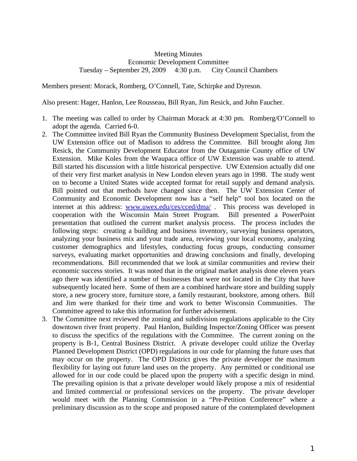## Meeting Minutes Economic Development Committee Tuesday – September 29, 2009 4:30 p.m. City Council Chambers

Members present: Morack, Romberg, O'Connell, Tate, Schirpke and Dyreson.

Also present: Hager, Hanlon, Lee Rousseau, Bill Ryan, Jim Resick, and John Faucher.

- 1. The meeting was called to order by Chairman Morack at 4:30 pm. Romberg/O'Connell to adopt the agenda. Carried 6-0.
- 2. The Committee invited Bill Ryan the Community Business Development Specialist, from the UW Extension office out of Madison to address the Committee. Bill brought along Jim Resick, the Community Development Educator from the Outagamie County office of UW Extension. Mike Koles from the Waupaca office of UW Extension was unable to attend. Bill started his discussion with a little historical perspective. UW Extension actually did one of their very first market analysis in New London eleven years ago in 1998. The study went on to become a United States wide accepted format for retail supply and demand analysis. Bill pointed out that methods have changed since then. The UW Extension Center of Community and Economic Development now has a "self help" tool box located on the internet at this address: [www.uwex.edu/ces/cced/dma/](http://www.uwex.edu/ces/cced/dma/) . This process was developed in cooperation with the Wisconsin Main Street Program. Bill presented a PowerPoint presentation that outlined the current market analysis process. The process includes the following steps: creating a building and business inventory, surveying business operators, analyzing your business mix and your trade area, reviewing your local economy, analyzing customer demographics and lifestyles, conducting focus groups, conducting consumer surveys, evaluating market opportunities and drawing conclusions and finally, developing recommendations. Bill recommended that we look at similar communities and review their economic success stories. It was noted that in the original market analysis done eleven years ago there was identified a number of businesses that were not located in the City that have subsequently located here. Some of them are a combined hardware store and building supply store, a new grocery store, furniture store, a family restaurant, bookstore, among others. Bill and Jim were thanked for their time and work to better Wisconsin Communities. The Committee agreed to take this information for further advisement.
- 3. The Committee next reviewed the zoning and subdivision regulations applicable to the City downtown river front property. Paul Hanlon, Building Inspector/Zoning Officer was present to discuss the specifics of the regulations with the Committee. The current zoning on the property is B-1, Central Business District. A private developer could utilize the Overlay Planned Development District (OPD) regulations in our code for planning the future uses that may occur on the property. The OPD District gives the private developer the maximum flexibility for laying out future land uses on the property. Any permitted or conditional use allowed for in our code could be placed upon the property with a specific design in mind. The prevailing opinion is that a private developer would likely propose a mix of residential and limited commercial or professional services on the property. The private developer would meet with the Planning Commission in a "Pre-Petition Conference" where a preliminary discussion as to the scope and proposed nature of the contemplated development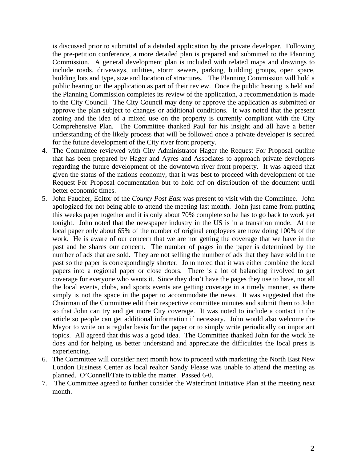is discussed prior to submittal of a detailed application by the private developer. Following the pre-petition conference, a more detailed plan is prepared and submitted to the Planning Commission. A general development plan is included with related maps and drawings to include roads, driveways, utilities, storm sewers, parking, building groups, open space, building lots and type, size and location of structures. The Planning Commission will hold a public hearing on the application as part of their review. Once the public hearing is held and the Planning Commission completes its review of the application, a recommendation is made to the City Council. The City Council may deny or approve the application as submitted or approve the plan subject to changes or additional conditions. It was noted that the present zoning and the idea of a mixed use on the property is currently compliant with the City Comprehensive Plan. The Committee thanked Paul for his insight and all have a better understanding of the likely process that will be followed once a private developer is secured for the future development of the City river front property.

- 4. The Committee reviewed with City Administrator Hager the Request For Proposal outline that has been prepared by Hager and Ayres and Associates to approach private developers regarding the future development of the downtown river front property. It was agreed that given the status of the nations economy, that it was best to proceed with development of the Request For Proposal documentation but to hold off on distribution of the document until better economic times.
- 5. John Faucher, Editor of the *County Post East* was present to visit with the Committee. John apologized for not being able to attend the meeting last month. John just came from putting this weeks paper together and it is only about 70% complete so he has to go back to work yet tonight. John noted that the newspaper industry in the US is in a transition mode. At the local paper only about 65% of the number of original employees are now doing 100% of the work. He is aware of our concern that we are not getting the coverage that we have in the past and he shares our concern. The number of pages in the paper is determined by the number of ads that are sold. They are not selling the number of ads that they have sold in the past so the paper is correspondingly shorter. John noted that it was either combine the local papers into a regional paper or close doors. There is a lot of balancing involved to get coverage for everyone who wants it. Since they don't have the pages they use to have, not all the local events, clubs, and sports events are getting coverage in a timely manner, as there simply is not the space in the paper to accommodate the news. It was suggested that the Chairman of the Committee edit their respective committee minutes and submit them to John so that John can try and get more City coverage. It was noted to include a contact in the article so people can get additional information if necessary. John would also welcome the Mayor to write on a regular basis for the paper or to simply write periodically on important topics. All agreed that this was a good idea. The Committee thanked John for the work he does and for helping us better understand and appreciate the difficulties the local press is experiencing.
- 6. The Committee will consider next month how to proceed with marketing the North East New London Business Center as local realtor Sandy Flease was unable to attend the meeting as planned. O'Connell/Tate to table the matter. Passed 6-0.
- 7. The Committee agreed to further consider the Waterfront Initiative Plan at the meeting next month.